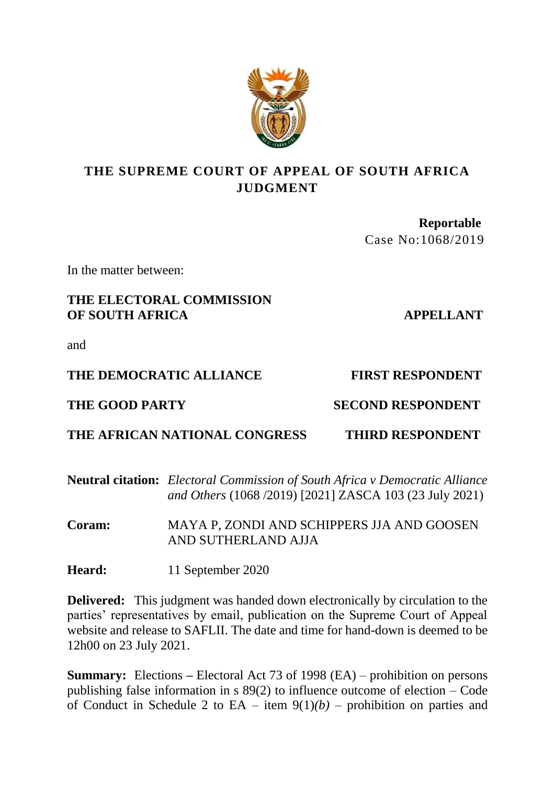

# **THE SUPREME COURT OF APPEAL OF SOUTH AFRICA JUDGMENT**

 **Reportable**  Case No:1068/2019

In the matter between:

## **THE ELECTORAL COMMISSION OF SOUTH AFRICA APPELLANT**

and

## THE DEMOCRATIC ALLIANCE FIRST RESPONDENT

# **THE GOOD PARTY SECOND RESPONDENT**

# **THE AFRICAN NATIONAL CONGRESS THIRD RESPONDENT**

## **Neutral citation:** *Electoral Commission of South Africa v Democratic Alliance and Others* (1068 /2019) [2021] ZASCA 103 (23 July 2021)

**Coram:** MAYA P, ZONDI AND SCHIPPERS JJA AND GOOSEN AND SUTHERLAND AJJA

**Heard:** 11 September 2020

**Delivered:** This judgment was handed down electronically by circulation to the parties' representatives by email, publication on the Supreme Court of Appeal website and release to SAFLII. The date and time for hand-down is deemed to be 12h00 on 23 July 2021.

**Summary:** Elections **–** Electoral Act 73 of 1998 (EA) – prohibition on persons publishing false information in s 89(2) to influence outcome of election – Code of Conduct in Schedule 2 to  $EA$  – item  $9(1)(b)$  – prohibition on parties and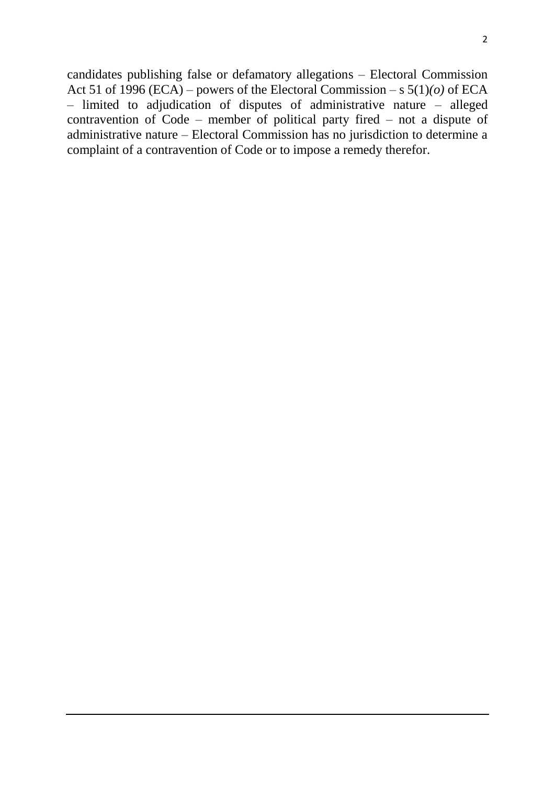candidates publishing false or defamatory allegations – Electoral Commission Act 51 of 1996 (ECA) – powers of the Electoral Commission – s  $5(1)(o)$  of ECA – limited to adjudication of disputes of administrative nature – alleged contravention of Code – member of political party fired – not a dispute of administrative nature – Electoral Commission has no jurisdiction to determine a complaint of a contravention of Code or to impose a remedy therefor.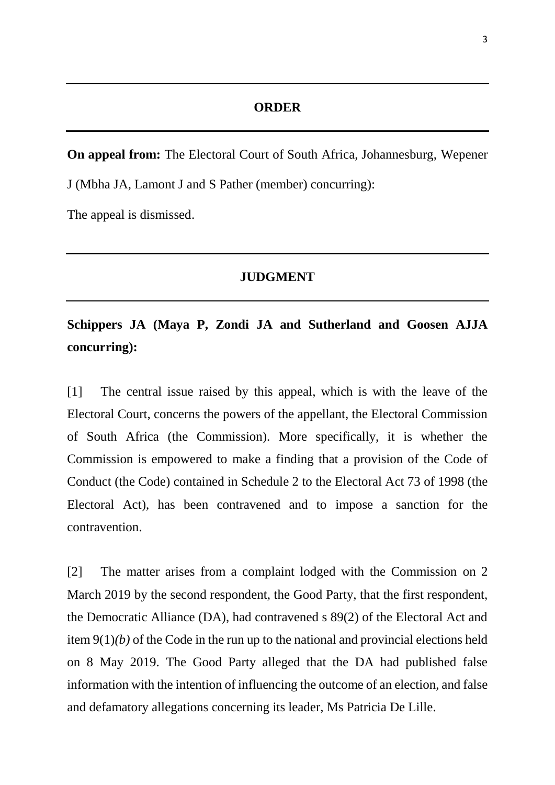## **ORDER**

**On appeal from:** The Electoral Court of South Africa, Johannesburg, Wepener J (Mbha JA, Lamont J and S Pather (member) concurring):

The appeal is dismissed.

#### **JUDGMENT**

**Schippers JA (Maya P, Zondi JA and Sutherland and Goosen AJJA concurring):**

[1] The central issue raised by this appeal, which is with the leave of the Electoral Court, concerns the powers of the appellant, the Electoral Commission of South Africa (the Commission). More specifically, it is whether the Commission is empowered to make a finding that a provision of the Code of Conduct (the Code) contained in Schedule 2 to the Electoral Act 73 of 1998 (the Electoral Act), has been contravened and to impose a sanction for the contravention.

[2] The matter arises from a complaint lodged with the Commission on 2 March 2019 by the second respondent, the Good Party, that the first respondent, the Democratic Alliance (DA), had contravened s 89(2) of the Electoral Act and item 9(1)*(b)* of the Code in the run up to the national and provincial elections held on 8 May 2019. The Good Party alleged that the DA had published false information with the intention of influencing the outcome of an election, and false and defamatory allegations concerning its leader, Ms Patricia De Lille.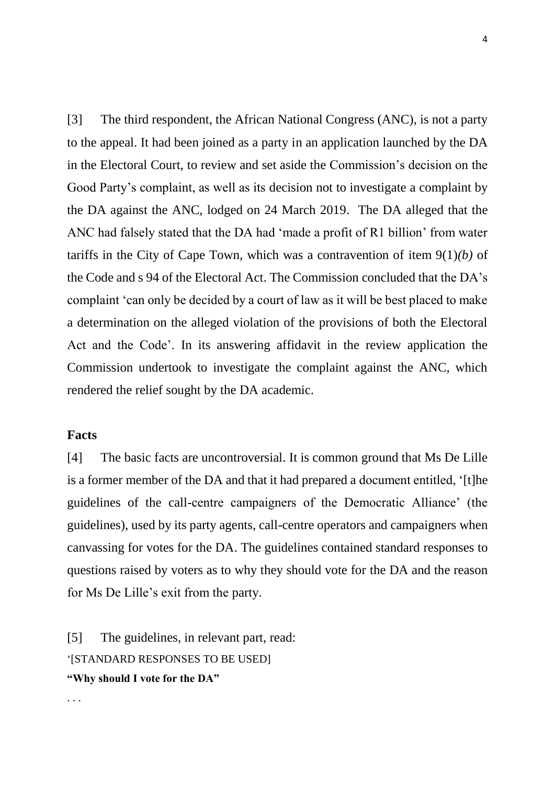[3] The third respondent, the African National Congress (ANC), is not a party to the appeal. It had been joined as a party in an application launched by the DA in the Electoral Court, to review and set aside the Commission's decision on the Good Party's complaint, as well as its decision not to investigate a complaint by the DA against the ANC, lodged on 24 March 2019. The DA alleged that the ANC had falsely stated that the DA had 'made a profit of R1 billion' from water tariffs in the City of Cape Town, which was a contravention of item 9(1)*(b)* of the Code and s 94 of the Electoral Act. The Commission concluded that the DA's complaint 'can only be decided by a court of law as it will be best placed to make a determination on the alleged violation of the provisions of both the Electoral Act and the Code'. In its answering affidavit in the review application the Commission undertook to investigate the complaint against the ANC, which rendered the relief sought by the DA academic.

## **Facts**

. . .

[4] The basic facts are uncontroversial. It is common ground that Ms De Lille is a former member of the DA and that it had prepared a document entitled, '[t]he guidelines of the call-centre campaigners of the Democratic Alliance' (the guidelines), used by its party agents, call-centre operators and campaigners when canvassing for votes for the DA. The guidelines contained standard responses to questions raised by voters as to why they should vote for the DA and the reason for Ms De Lille's exit from the party.

[5] The guidelines, in relevant part, read: '[STANDARD RESPONSES TO BE USED] **"Why should I vote for the DA"**

4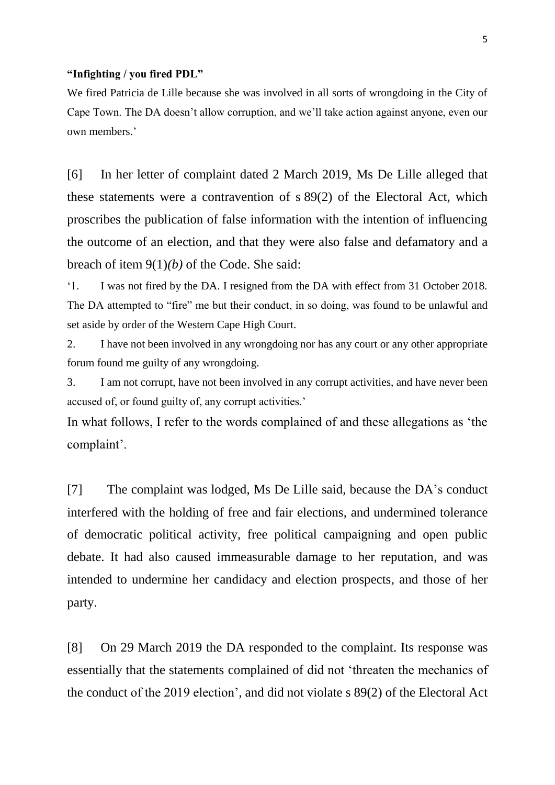#### **"Infighting / you fired PDL"**

We fired Patricia de Lille because she was involved in all sorts of wrongdoing in the City of Cape Town. The DA doesn't allow corruption, and we'll take action against anyone, even our own members.'

[6] In her letter of complaint dated 2 March 2019, Ms De Lille alleged that these statements were a contravention of s 89(2) of the Electoral Act, which proscribes the publication of false information with the intention of influencing the outcome of an election, and that they were also false and defamatory and a breach of item 9(1)*(b)* of the Code. She said:

'1. I was not fired by the DA. I resigned from the DA with effect from 31 October 2018. The DA attempted to "fire" me but their conduct, in so doing, was found to be unlawful and set aside by order of the Western Cape High Court.

2. I have not been involved in any wrongdoing nor has any court or any other appropriate forum found me guilty of any wrongdoing.

3. I am not corrupt, have not been involved in any corrupt activities, and have never been accused of, or found guilty of, any corrupt activities.'

In what follows, I refer to the words complained of and these allegations as 'the complaint'.

[7] The complaint was lodged, Ms De Lille said, because the DA's conduct interfered with the holding of free and fair elections, and undermined tolerance of democratic political activity, free political campaigning and open public debate. It had also caused immeasurable damage to her reputation, and was intended to undermine her candidacy and election prospects, and those of her party.

[8] On 29 March 2019 the DA responded to the complaint. Its response was essentially that the statements complained of did not 'threaten the mechanics of the conduct of the 2019 election', and did not violate s 89(2) of the Electoral Act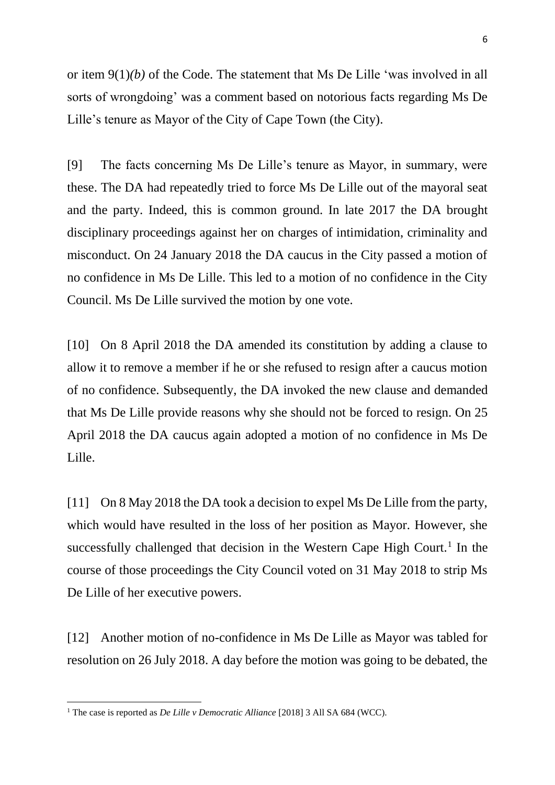or item 9(1)*(b)* of the Code. The statement that Ms De Lille 'was involved in all sorts of wrongdoing' was a comment based on notorious facts regarding Ms De Lille's tenure as Mayor of the City of Cape Town (the City).

[9] The facts concerning Ms De Lille's tenure as Mayor, in summary, were these. The DA had repeatedly tried to force Ms De Lille out of the mayoral seat and the party. Indeed, this is common ground. In late 2017 the DA brought disciplinary proceedings against her on charges of intimidation, criminality and misconduct. On 24 January 2018 the DA caucus in the City passed a motion of no confidence in Ms De Lille. This led to a motion of no confidence in the City Council. Ms De Lille survived the motion by one vote.

[10] On 8 April 2018 the DA amended its constitution by adding a clause to allow it to remove a member if he or she refused to resign after a caucus motion of no confidence. Subsequently, the DA invoked the new clause and demanded that Ms De Lille provide reasons why she should not be forced to resign. On 25 April 2018 the DA caucus again adopted a motion of no confidence in Ms De Lille.

[11] On 8 May 2018 the DA took a decision to expel Ms De Lille from the party, which would have resulted in the loss of her position as Mayor. However, she successfully challenged that decision in the Western Cape High Court.<sup>1</sup> In the course of those proceedings the City Council voted on 31 May 2018 to strip Ms De Lille of her executive powers.

[12] Another motion of no-confidence in Ms De Lille as Mayor was tabled for resolution on 26 July 2018. A day before the motion was going to be debated, the

<sup>&</sup>lt;sup>1</sup> The case is reported as *De Lille v Democratic Alliance* [2018] 3 All SA 684 (WCC).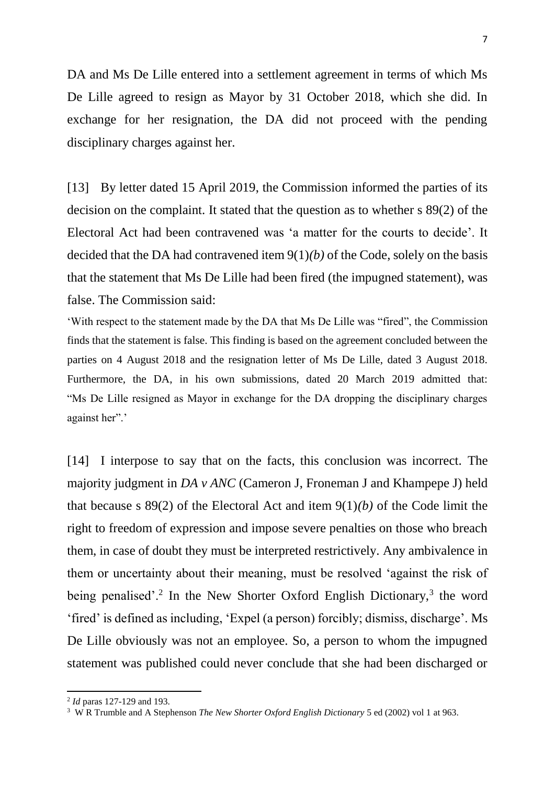7

DA and Ms De Lille entered into a settlement agreement in terms of which Ms De Lille agreed to resign as Mayor by 31 October 2018, which she did. In exchange for her resignation, the DA did not proceed with the pending disciplinary charges against her.

[13] By letter dated 15 April 2019, the Commission informed the parties of its decision on the complaint. It stated that the question as to whether s 89(2) of the Electoral Act had been contravened was 'a matter for the courts to decide'. It decided that the DA had contravened item 9(1)*(b)* of the Code, solely on the basis that the statement that Ms De Lille had been fired (the impugned statement), was false. The Commission said:

'With respect to the statement made by the DA that Ms De Lille was "fired", the Commission finds that the statement is false. This finding is based on the agreement concluded between the parties on 4 August 2018 and the resignation letter of Ms De Lille, dated 3 August 2018. Furthermore, the DA, in his own submissions, dated 20 March 2019 admitted that: "Ms De Lille resigned as Mayor in exchange for the DA dropping the disciplinary charges against her".'

[14] I interpose to say that on the facts, this conclusion was incorrect. The majority judgment in *DA v ANC* (Cameron J, Froneman J and Khampepe J) held that because s 89(2) of the Electoral Act and item 9(1)*(b)* of the Code limit the right to freedom of expression and impose severe penalties on those who breach them, in case of doubt they must be interpreted restrictively. Any ambivalence in them or uncertainty about their meaning, must be resolved 'against the risk of being penalised'.<sup>2</sup> In the New Shorter Oxford English Dictionary,<sup>3</sup> the word 'fired' is defined as including, 'Expel (a person) forcibly; dismiss, discharge'. Ms De Lille obviously was not an employee. So, a person to whom the impugned statement was published could never conclude that she had been discharged or

<sup>2</sup> *Id* paras 127-129 and 193.

<sup>3</sup> W R Trumble and A Stephenson *The New Shorter Oxford English Dictionary* 5 ed (2002) vol 1 at 963.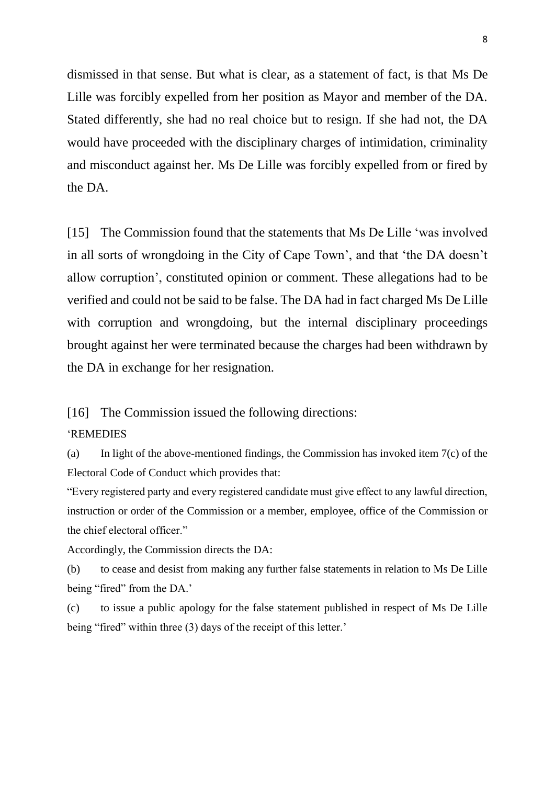dismissed in that sense. But what is clear, as a statement of fact, is that Ms De Lille was forcibly expelled from her position as Mayor and member of the DA. Stated differently, she had no real choice but to resign. If she had not, the DA would have proceeded with the disciplinary charges of intimidation, criminality and misconduct against her. Ms De Lille was forcibly expelled from or fired by the DA.

[15] The Commission found that the statements that Ms De Lille 'was involved in all sorts of wrongdoing in the City of Cape Town', and that 'the DA doesn't allow corruption', constituted opinion or comment. These allegations had to be verified and could not be said to be false. The DA had in fact charged Ms De Lille with corruption and wrongdoing, but the internal disciplinary proceedings brought against her were terminated because the charges had been withdrawn by the DA in exchange for her resignation.

[16] The Commission issued the following directions:

#### 'REMEDIES

(a) In light of the above-mentioned findings, the Commission has invoked item 7(c) of the Electoral Code of Conduct which provides that:

"Every registered party and every registered candidate must give effect to any lawful direction, instruction or order of the Commission or a member, employee, office of the Commission or the chief electoral officer."

Accordingly, the Commission directs the DA:

(b) to cease and desist from making any further false statements in relation to Ms De Lille being "fired" from the DA.'

(c) to issue a public apology for the false statement published in respect of Ms De Lille being "fired" within three (3) days of the receipt of this letter.'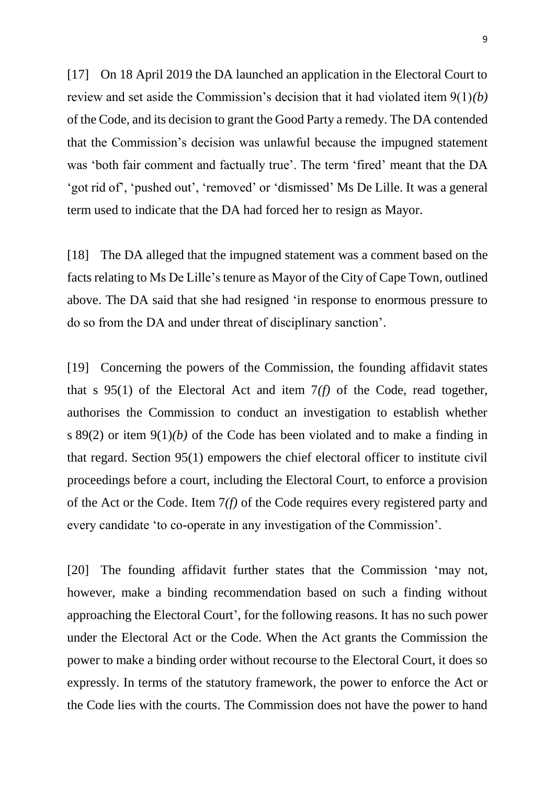[17] On 18 April 2019 the DA launched an application in the Electoral Court to review and set aside the Commission's decision that it had violated item 9(1)*(b)* of the Code, and its decision to grant the Good Party a remedy. The DA contended that the Commission's decision was unlawful because the impugned statement was 'both fair comment and factually true'. The term 'fired' meant that the DA 'got rid of', 'pushed out', 'removed' or 'dismissed' Ms De Lille. It was a general term used to indicate that the DA had forced her to resign as Mayor.

[18] The DA alleged that the impugned statement was a comment based on the facts relating to Ms De Lille's tenure as Mayor of the City of Cape Town, outlined above. The DA said that she had resigned 'in response to enormous pressure to do so from the DA and under threat of disciplinary sanction'.

[19] Concerning the powers of the Commission, the founding affidavit states that s 95(1) of the Electoral Act and item 7*(f)* of the Code, read together, authorises the Commission to conduct an investigation to establish whether s 89(2) or item 9(1)*(b)* of the Code has been violated and to make a finding in that regard. Section 95(1) empowers the chief electoral officer to institute civil proceedings before a court, including the Electoral Court, to enforce a provision of the Act or the Code. Item 7*(f)* of the Code requires every registered party and every candidate 'to co-operate in any investigation of the Commission'.

[20] The founding affidavit further states that the Commission 'may not, however, make a binding recommendation based on such a finding without approaching the Electoral Court', for the following reasons. It has no such power under the Electoral Act or the Code. When the Act grants the Commission the power to make a binding order without recourse to the Electoral Court, it does so expressly. In terms of the statutory framework, the power to enforce the Act or the Code lies with the courts. The Commission does not have the power to hand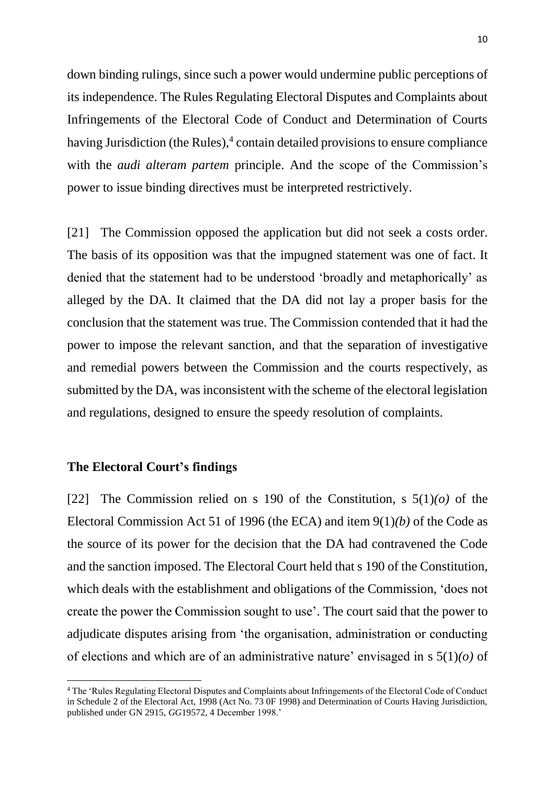down binding rulings, since such a power would undermine public perceptions of its independence. The Rules Regulating Electoral Disputes and Complaints about Infringements of the Electoral Code of Conduct and Determination of Courts having Jurisdiction (the Rules),<sup>4</sup> contain detailed provisions to ensure compliance with the *audi alteram partem* principle. And the scope of the Commission's power to issue binding directives must be interpreted restrictively.

[21] The Commission opposed the application but did not seek a costs order. The basis of its opposition was that the impugned statement was one of fact. It denied that the statement had to be understood 'broadly and metaphorically' as alleged by the DA. It claimed that the DA did not lay a proper basis for the conclusion that the statement was true. The Commission contended that it had the power to impose the relevant sanction, and that the separation of investigative and remedial powers between the Commission and the courts respectively, as submitted by the DA, was inconsistent with the scheme of the electoral legislation and regulations, designed to ensure the speedy resolution of complaints.

## **The Electoral Court's findings**

1

[22] The Commission relied on s 190 of the Constitution, s 5(1)*(o)* of the Electoral Commission Act 51 of 1996 (the ECA) and item 9(1)*(b)* of the Code as the source of its power for the decision that the DA had contravened the Code and the sanction imposed. The Electoral Court held that s 190 of the Constitution, which deals with the establishment and obligations of the Commission, 'does not create the power the Commission sought to use'. The court said that the power to adjudicate disputes arising from 'the organisation, administration or conducting of elections and which are of an administrative nature' envisaged in s 5(1)*(o)* of

<sup>4</sup> The 'Rules Regulating Electoral Disputes and Complaints about Infringements of the Electoral Code of Conduct in Schedule 2 of the Electoral Act, 1998 (Act No. 73 0F 1998) and Determination of Courts Having Jurisdiction, published under GN 2915, *GG*19572, 4 December 1998.'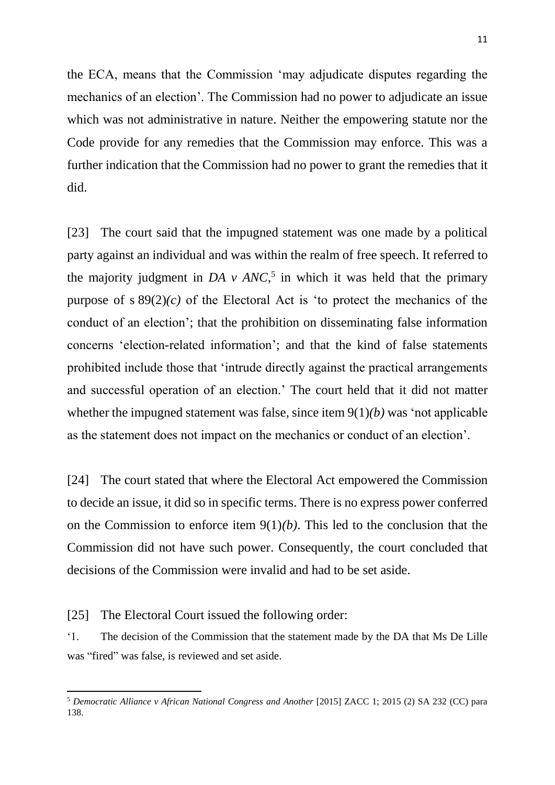the ECA, means that the Commission 'may adjudicate disputes regarding the mechanics of an election'. The Commission had no power to adjudicate an issue which was not administrative in nature. Neither the empowering statute nor the Code provide for any remedies that the Commission may enforce. This was a further indication that the Commission had no power to grant the remedies that it did.

[23] The court said that the impugned statement was one made by a political party against an individual and was within the realm of free speech. It referred to the majority judgment in *DA v ANC*<sup>5</sup>, in which it was held that the primary purpose of s  $89(2)(c)$  of the Electoral Act is 'to protect the mechanics of the conduct of an election'; that the prohibition on disseminating false information concerns 'election-related information'; and that the kind of false statements prohibited include those that 'intrude directly against the practical arrangements and successful operation of an election.' The court held that it did not matter whether the impugned statement was false, since item 9(1)*(b)* was 'not applicable as the statement does not impact on the mechanics or conduct of an election'.

[24] The court stated that where the Electoral Act empowered the Commission to decide an issue, it did so in specific terms. There is no express power conferred on the Commission to enforce item 9(1)*(b)*. This led to the conclusion that the Commission did not have such power. Consequently, the court concluded that decisions of the Commission were invalid and had to be set aside.

[25] The Electoral Court issued the following order:

**.** 

'1. The decision of the Commission that the statement made by the DA that Ms De Lille was "fired" was false, is reviewed and set aside.

<sup>5</sup> *Democratic Alliance v African National Congress and Another* [2015] ZACC 1; 2015 (2) SA 232 (CC) para 138.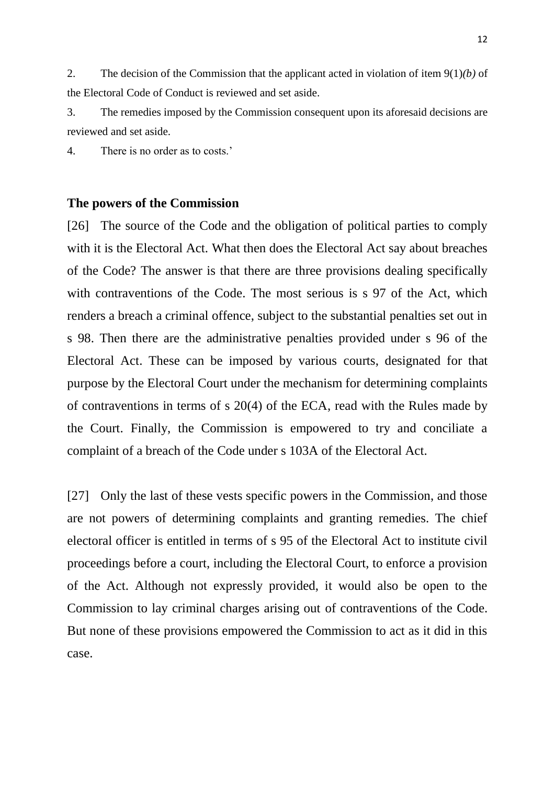2. The decision of the Commission that the applicant acted in violation of item 9(1)*(b)* of the Electoral Code of Conduct is reviewed and set aside.

3. The remedies imposed by the Commission consequent upon its aforesaid decisions are reviewed and set aside.

4. There is no order as to costs.'

## **The powers of the Commission**

[26] The source of the Code and the obligation of political parties to comply with it is the Electoral Act. What then does the Electoral Act say about breaches of the Code? The answer is that there are three provisions dealing specifically with contraventions of the Code. The most serious is s 97 of the Act, which renders a breach a criminal offence, subject to the substantial penalties set out in s 98. Then there are the administrative penalties provided under s 96 of the Electoral Act. These can be imposed by various courts, designated for that purpose by the Electoral Court under the mechanism for determining complaints of contraventions in terms of s 20(4) of the ECA, read with the Rules made by the Court. Finally, the Commission is empowered to try and conciliate a complaint of a breach of the Code under s 103A of the Electoral Act.

[27] Only the last of these vests specific powers in the Commission, and those are not powers of determining complaints and granting remedies. The chief electoral officer is entitled in terms of s 95 of the Electoral Act to institute civil proceedings before a court, including the Electoral Court, to enforce a provision of the Act. Although not expressly provided, it would also be open to the Commission to lay criminal charges arising out of contraventions of the Code. But none of these provisions empowered the Commission to act as it did in this case.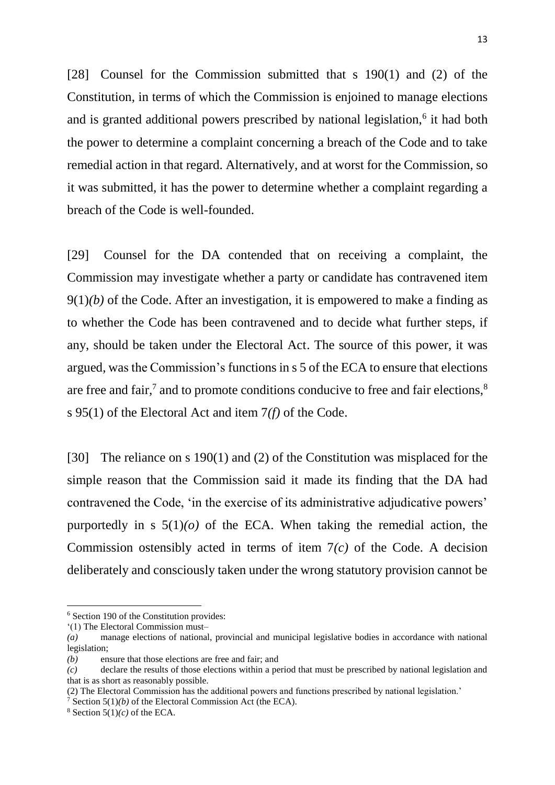[28] Counsel for the Commission submitted that s 190(1) and (2) of the Constitution, in terms of which the Commission is enjoined to manage elections and is granted additional powers prescribed by national legislation,<sup>6</sup> it had both the power to determine a complaint concerning a breach of the Code and to take remedial action in that regard. Alternatively, and at worst for the Commission, so it was submitted, it has the power to determine whether a complaint regarding a breach of the Code is well-founded.

[29] Counsel for the DA contended that on receiving a complaint, the Commission may investigate whether a party or candidate has contravened item 9(1)*(b)* of the Code. After an investigation, it is empowered to make a finding as to whether the Code has been contravened and to decide what further steps, if any, should be taken under the Electoral Act. The source of this power, it was argued, was the Commission's functions in s 5 of the ECA to ensure that elections are free and fair,<sup>7</sup> and to promote conditions conducive to free and fair elections,<sup>8</sup> s 95(1) of the Electoral Act and item 7*(f)* of the Code.

[30] The reliance on s 190(1) and (2) of the Constitution was misplaced for the simple reason that the Commission said it made its finding that the DA had contravened the Code, 'in the exercise of its administrative adjudicative powers' purportedly in s  $5(1)(o)$  of the ECA. When taking the remedial action, the Commission ostensibly acted in terms of item 7*(c)* of the Code. A decision deliberately and consciously taken under the wrong statutory provision cannot be

<sup>6</sup> Section 190 of the Constitution provides:

<sup>&#</sup>x27;(1) The Electoral Commission must–

*<sup>(</sup>a)* manage elections of national, provincial and municipal legislative bodies in accordance with national legislation;

*<sup>(</sup>b)* ensure that those elections are free and fair; and

*<sup>(</sup>c)* declare the results of those elections within a period that must be prescribed by national legislation and that is as short as reasonably possible.

<sup>(2)</sup> The Electoral Commission has the additional powers and functions prescribed by national legislation.'

<sup>&</sup>lt;sup>7</sup> Section  $5(1)(b)$  of the Electoral Commission Act (the ECA).

 $8$  Section  $5(1)(c)$  of the ECA.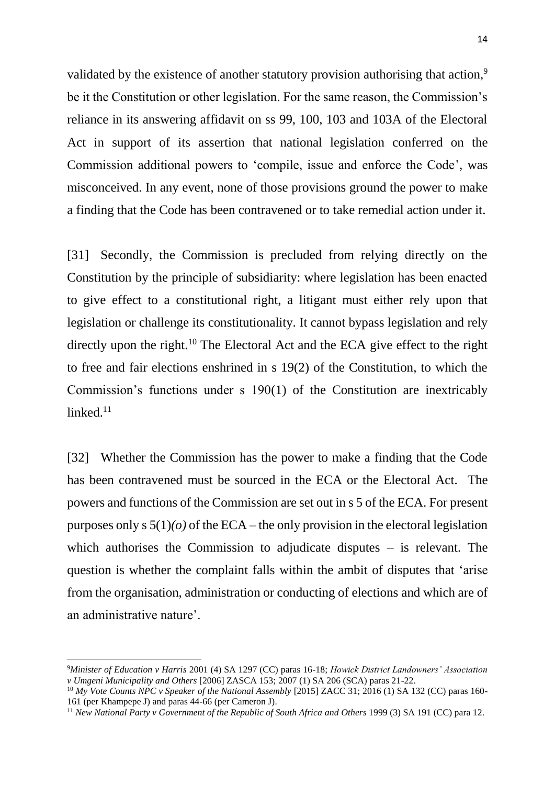validated by the existence of another statutory provision authorising that action,<sup>9</sup> be it the Constitution or other legislation. For the same reason, the Commission's reliance in its answering affidavit on ss 99, 100, 103 and 103A of the Electoral Act in support of its assertion that national legislation conferred on the Commission additional powers to 'compile, issue and enforce the Code', was misconceived. In any event, none of those provisions ground the power to make a finding that the Code has been contravened or to take remedial action under it.

[31] Secondly, the Commission is precluded from relying directly on the Constitution by the principle of subsidiarity: where legislation has been enacted to give effect to a constitutional right, a litigant must either rely upon that legislation or challenge its constitutionality. It cannot bypass legislation and rely directly upon the right.<sup>10</sup> The Electoral Act and the ECA give effect to the right to free and fair elections enshrined in s 19(2) of the Constitution, to which the Commission's functions under s 190(1) of the Constitution are inextricably  $linked.<sup>11</sup>$ 

[32] Whether the Commission has the power to make a finding that the Code has been contravened must be sourced in the ECA or the Electoral Act. The powers and functions of the Commission are set out in s 5 of the ECA. For present purposes only s  $5(1)(o)$  of the ECA – the only provision in the electoral legislation which authorises the Commission to adjudicate disputes – is relevant. The question is whether the complaint falls within the ambit of disputes that 'arise from the organisation, administration or conducting of elections and which are of an administrative nature'.

<sup>9</sup>*Minister of Education v Harris* 2001 (4) SA 1297 (CC) paras 16-18; *Howick District Landowners' Association v Umgeni Municipality and Others* [2006] ZASCA 153; 2007 (1) SA 206 (SCA) paras 21-22.

<sup>10</sup> *My Vote Counts NPC v Speaker of the National Assembly* [2015] ZACC 31; 2016 (1) SA 132 (CC) paras 160- 161 (per Khampepe J) and paras 44-66 (per Cameron J).

<sup>11</sup> *New National Party v Government of the Republic of South Africa and Others* 1999 (3) SA 191 (CC) para 12.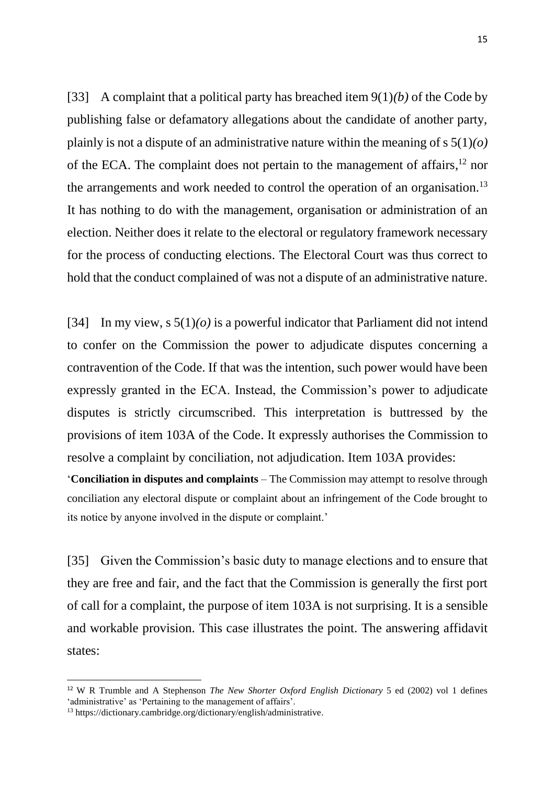[33] A complaint that a political party has breached item 9(1)*(b)* of the Code by publishing false or defamatory allegations about the candidate of another party, plainly is not a dispute of an administrative nature within the meaning of s 5(1)*(o)* of the ECA. The complaint does not pertain to the management of affairs,<sup>12</sup> nor the arrangements and work needed to control the operation of an organisation.<sup>13</sup> It has nothing to do with the management, organisation or administration of an election. Neither does it relate to the electoral or regulatory framework necessary for the process of conducting elections. The Electoral Court was thus correct to hold that the conduct complained of was not a dispute of an administrative nature.

[34] In my view,  $s \, 5(1)(o)$  is a powerful indicator that Parliament did not intend to confer on the Commission the power to adjudicate disputes concerning a contravention of the Code. If that was the intention, such power would have been expressly granted in the ECA. Instead, the Commission's power to adjudicate disputes is strictly circumscribed. This interpretation is buttressed by the provisions of item 103A of the Code. It expressly authorises the Commission to resolve a complaint by conciliation, not adjudication. Item 103A provides:

'**Conciliation in disputes and complaints** – The Commission may attempt to resolve through conciliation any electoral dispute or complaint about an infringement of the Code brought to its notice by anyone involved in the dispute or complaint.'

[35] Given the Commission's basic duty to manage elections and to ensure that they are free and fair, and the fact that the Commission is generally the first port of call for a complaint, the purpose of item 103A is not surprising. It is a sensible and workable provision. This case illustrates the point. The answering affidavit states:

<sup>12</sup> W R Trumble and A Stephenson *The New Shorter Oxford English Dictionary* 5 ed (2002) vol 1 defines 'administrative' as 'Pertaining to the management of affairs'.

<sup>13</sup> https://dictionary.cambridge.org/dictionary/english/administrative.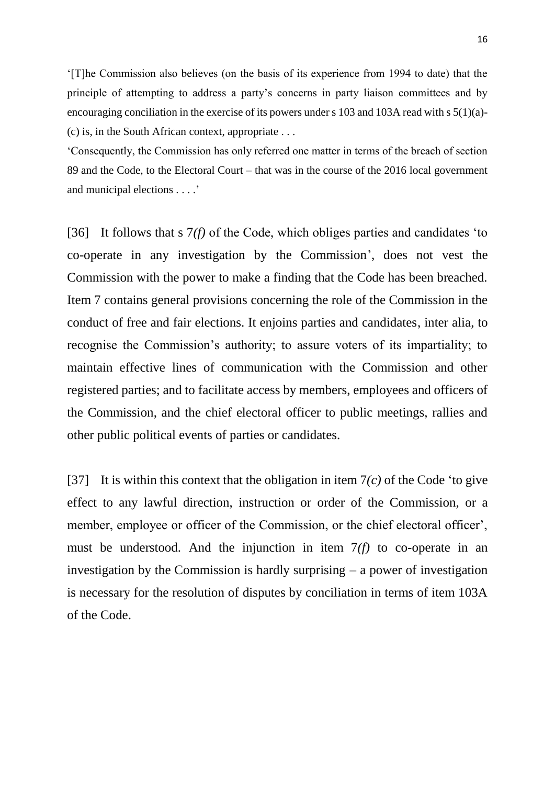'[T]he Commission also believes (on the basis of its experience from 1994 to date) that the principle of attempting to address a party's concerns in party liaison committees and by encouraging conciliation in the exercise of its powers under s 103 and 103A read with s 5(1)(a)- (c) is, in the South African context, appropriate . . .

'Consequently, the Commission has only referred one matter in terms of the breach of section 89 and the Code, to the Electoral Court – that was in the course of the 2016 local government and municipal elections . . . .'

[36] It follows that s 7*(f)* of the Code, which obliges parties and candidates 'to co-operate in any investigation by the Commission', does not vest the Commission with the power to make a finding that the Code has been breached. Item 7 contains general provisions concerning the role of the Commission in the conduct of free and fair elections. It enjoins parties and candidates, inter alia, to recognise the Commission's authority; to assure voters of its impartiality; to maintain effective lines of communication with the Commission and other registered parties; and to facilitate access by members, employees and officers of the Commission, and the chief electoral officer to public meetings, rallies and other public political events of parties or candidates.

[37] It is within this context that the obligation in item 7*(c)* of the Code 'to give effect to any lawful direction, instruction or order of the Commission, or a member, employee or officer of the Commission, or the chief electoral officer', must be understood. And the injunction in item 7*(f)* to co-operate in an investigation by the Commission is hardly surprising – a power of investigation is necessary for the resolution of disputes by conciliation in terms of item 103A of the Code.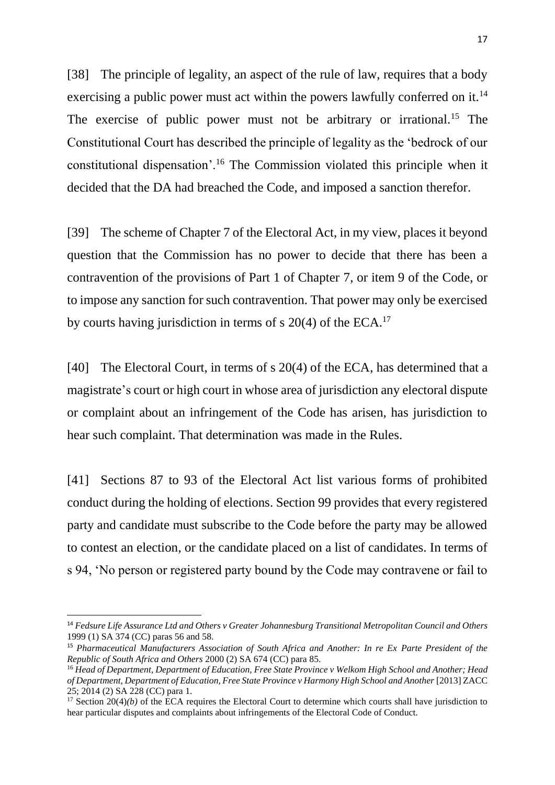[38] The principle of legality, an aspect of the rule of law, requires that a body exercising a public power must act within the powers lawfully conferred on it.<sup>14</sup> The exercise of public power must not be arbitrary or irrational.<sup>15</sup> The Constitutional Court has described the principle of legality as the 'bedrock of our constitutional dispensation'.<sup>16</sup> The Commission violated this principle when it decided that the DA had breached the Code, and imposed a sanction therefor.

[39] The scheme of Chapter 7 of the Electoral Act, in my view, places it beyond question that the Commission has no power to decide that there has been a contravention of the provisions of Part 1 of Chapter 7, or item 9 of the Code, or to impose any sanction for such contravention. That power may only be exercised by courts having jurisdiction in terms of s 20(4) of the ECA.<sup>17</sup>

[40] The Electoral Court, in terms of s 20(4) of the ECA, has determined that a magistrate's court or high court in whose area of jurisdiction any electoral dispute or complaint about an infringement of the Code has arisen, has jurisdiction to hear such complaint. That determination was made in the Rules.

[41] Sections 87 to 93 of the Electoral Act list various forms of prohibited conduct during the holding of elections. Section 99 provides that every registered party and candidate must subscribe to the Code before the party may be allowed to contest an election, or the candidate placed on a list of candidates. In terms of s 94, 'No person or registered party bound by the Code may contravene or fail to

<sup>14</sup> *Fedsure Life Assurance Ltd and Others v Greater Johannesburg Transitional Metropolitan Council and Others*  1999 (1) SA 374 (CC) paras 56 and 58.

<sup>15</sup> *Pharmaceutical Manufacturers Association of South Africa and Another: In re Ex Parte President of the Republic of South Africa and Others* 2000 (2) SA 674 (CC) para 85.

<sup>16</sup> *Head of Department, Department of Education, Free State Province v Welkom High School and Another; Head*  of Department, Department of Education, Free State Province v Harmony High School and Another [2013] ZACC 25; 2014 (2) SA 228 (CC) para 1.

<sup>&</sup>lt;sup>17</sup> Section 20(4)*(b)* of the ECA requires the Electoral Court to determine which courts shall have jurisdiction to hear particular disputes and complaints about infringements of the Electoral Code of Conduct.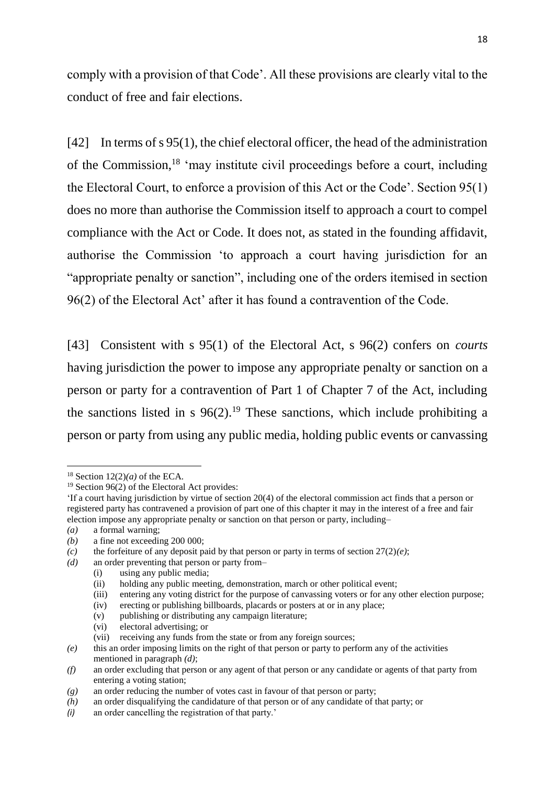comply with a provision of that Code'. All these provisions are clearly vital to the conduct of free and fair elections.

[42] In terms of s 95(1), the chief electoral officer, the head of the administration of the Commission,<sup>18</sup> 'may institute civil proceedings before a court, including the Electoral Court, to enforce a provision of this Act or the Code'. Section 95(1) does no more than authorise the Commission itself to approach a court to compel compliance with the Act or Code. It does not, as stated in the founding affidavit, authorise the Commission 'to approach a court having jurisdiction for an "appropriate penalty or sanction", including one of the orders itemised in section 96(2) of the Electoral Act' after it has found a contravention of the Code.

[43] Consistent with s 95(1) of the Electoral Act, s 96(2) confers on *courts* having jurisdiction the power to impose any appropriate penalty or sanction on a person or party for a contravention of Part 1 of Chapter 7 of the Act, including the sanctions listed in s  $96(2)$ .<sup>19</sup> These sanctions, which include prohibiting a person or party from using any public media, holding public events or canvassing

1

*(a)* a formal warning;

(i) using any public media;

- (iii) entering any voting district for the purpose of canvassing voters or for any other election purpose;
- (iv) erecting or publishing billboards, placards or posters at or in any place;
- (v) publishing or distributing any campaign literature;
- (vi) electoral advertising; or

<sup>&</sup>lt;sup>18</sup> Section  $12(2)(a)$  of the ECA.

 $19$  Section 96(2) of the Electoral Act provides:

<sup>&#</sup>x27;If a court having jurisdiction by virtue of section 20(4) of the electoral commission act finds that a person or registered party has contravened a provision of part one of this chapter it may in the interest of a free and fair election impose any appropriate penalty or sanction on that person or party, including–

*<sup>(</sup>b)* a fine not exceeding 200 000;

*<sup>(</sup>c)* the forfeiture of any deposit paid by that person or party in terms of section 27(2)*(e)*;

*<sup>(</sup>d)* an order preventing that person or party from–

<sup>(</sup>ii) holding any public meeting, demonstration, march or other political event;

<sup>(</sup>vii) receiving any funds from the state or from any foreign sources;

*<sup>(</sup>e)* this an order imposing limits on the right of that person or party to perform any of the activities mentioned in paragraph *(d)*;

*<sup>(</sup>f)* an order excluding that person or any agent of that person or any candidate or agents of that party from entering a voting station;

*<sup>(</sup>g)* an order reducing the number of votes cast in favour of that person or party;

*<sup>(</sup>h)* an order disqualifying the candidature of that person or of any candidate of that party; or

*<sup>(</sup>i)* an order cancelling the registration of that party.'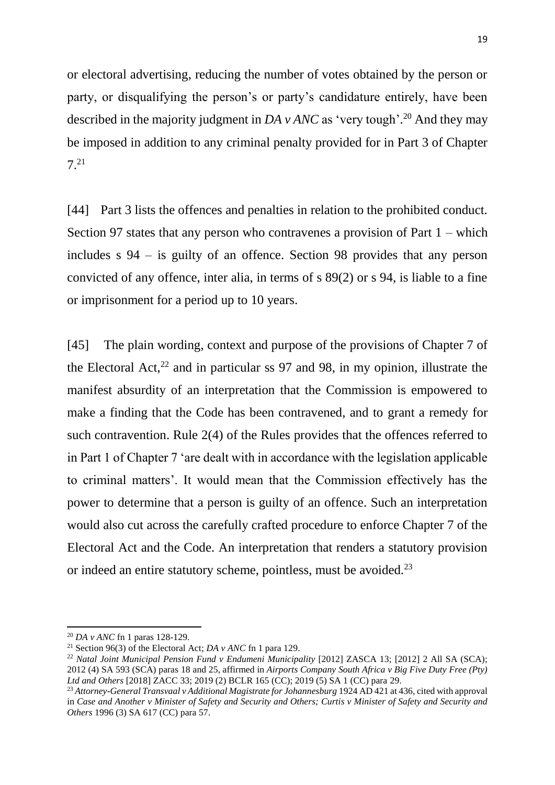or electoral advertising, reducing the number of votes obtained by the person or party, or disqualifying the person's or party's candidature entirely, have been described in the majority judgment in *DA v ANC* as 'very tough'.<sup>20</sup> And they may be imposed in addition to any criminal penalty provided for in Part 3 of Chapter 7.<sup>21</sup>

[44] Part 3 lists the offences and penalties in relation to the prohibited conduct. Section 97 states that any person who contravenes a provision of Part 1 – which includes s 94 – is guilty of an offence. Section 98 provides that any person convicted of any offence, inter alia, in terms of s 89(2) or s 94, is liable to a fine or imprisonment for a period up to 10 years.

[45] The plain wording, context and purpose of the provisions of Chapter 7 of the Electoral Act, $^{22}$  and in particular ss 97 and 98, in my opinion, illustrate the manifest absurdity of an interpretation that the Commission is empowered to make a finding that the Code has been contravened, and to grant a remedy for such contravention. Rule 2(4) of the Rules provides that the offences referred to in Part 1 of Chapter 7 'are dealt with in accordance with the legislation applicable to criminal matters'. It would mean that the Commission effectively has the power to determine that a person is guilty of an offence. Such an interpretation would also cut across the carefully crafted procedure to enforce Chapter 7 of the Electoral Act and the Code. An interpretation that renders a statutory provision or indeed an entire statutory scheme, pointless, must be avoided.<sup>23</sup>

<sup>20</sup> *DA v ANC* fn 1 paras 128-129.

<sup>21</sup> Section 96(3) of the Electoral Act; *DA v ANC* fn 1 para 129.

<sup>22</sup> *Natal Joint Municipal Pension Fund v Endumeni Municipality* [2012] ZASCA 13; [2012] 2 All SA (SCA); 2012 (4) SA 593 (SCA) paras 18 and 25, affirmed in *Airports Company South Africa v Big Five Duty Free (Pty) Ltd and Others* [2018] ZACC 33; 2019 (2) BCLR 165 (CC); 2019 (5) SA 1 (CC) para 29.

<sup>23</sup> *Attorney-General Transvaal v Additional Magistrate for Johannesburg* 1924 AD 421 at 436, cited with approval in *Case and Another v Minister of Safety and Security and Others; Curtis v Minister of Safety and Security and Others* 1996 (3) SA 617 (CC) para 57.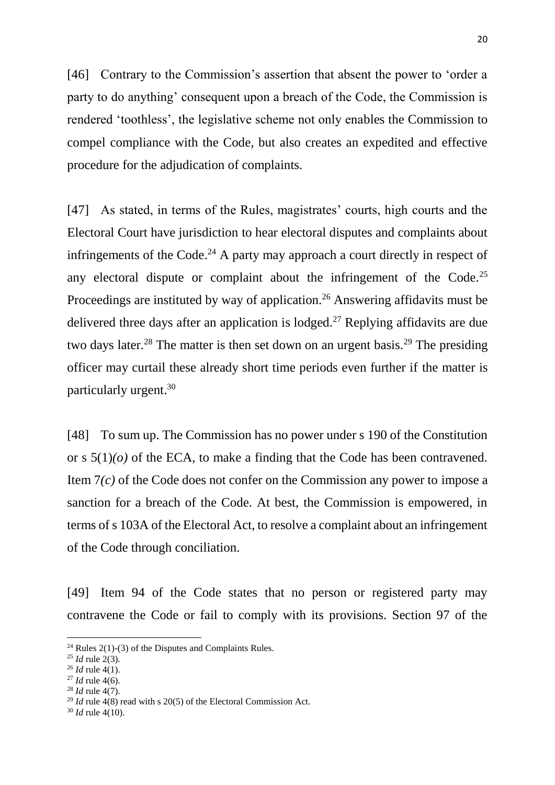[46] Contrary to the Commission's assertion that absent the power to 'order a party to do anything' consequent upon a breach of the Code, the Commission is rendered 'toothless', the legislative scheme not only enables the Commission to compel compliance with the Code, but also creates an expedited and effective procedure for the adjudication of complaints.

[47] As stated, in terms of the Rules, magistrates' courts, high courts and the Electoral Court have jurisdiction to hear electoral disputes and complaints about infringements of the Code.<sup>24</sup> A party may approach a court directly in respect of any electoral dispute or complaint about the infringement of the Code.<sup>25</sup> Proceedings are instituted by way of application.<sup>26</sup> Answering affidavits must be delivered three days after an application is lodged.<sup>27</sup> Replying affidavits are due two days later.<sup>28</sup> The matter is then set down on an urgent basis.<sup>29</sup> The presiding officer may curtail these already short time periods even further if the matter is particularly urgent.<sup>30</sup>

[48] To sum up. The Commission has no power under s 190 of the Constitution or s  $5(1)(o)$  of the ECA, to make a finding that the Code has been contravened. Item 7*(c)* of the Code does not confer on the Commission any power to impose a sanction for a breach of the Code. At best, the Commission is empowered, in terms of s 103A of the Electoral Act, to resolve a complaint about an infringement of the Code through conciliation.

[49] Item 94 of the Code states that no person or registered party may contravene the Code or fail to comply with its provisions. Section 97 of the

<sup>&</sup>lt;sup>24</sup> Rules  $2(1)$ -(3) of the Disputes and Complaints Rules.

<sup>25</sup> *Id* rule 2(3).

<sup>26</sup> *Id* rule 4(1).

<sup>27</sup> *Id* rule 4(6).

<sup>28</sup> *Id* rule 4(7).

<sup>&</sup>lt;sup>29</sup> *Id* rule 4(8) read with s 20(5) of the Electoral Commission Act.

<sup>30</sup> *Id* rule 4(10).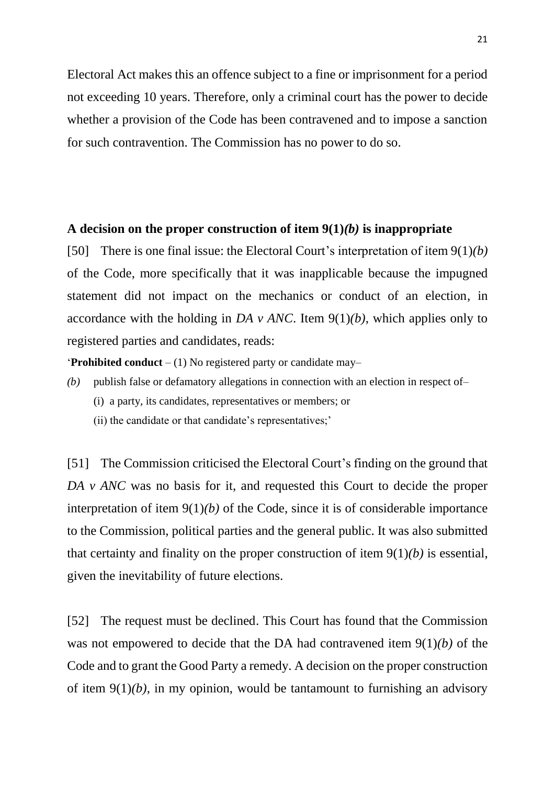Electoral Act makes this an offence subject to a fine or imprisonment for a period not exceeding 10 years. Therefore, only a criminal court has the power to decide whether a provision of the Code has been contravened and to impose a sanction for such contravention. The Commission has no power to do so.

#### **A decision on the proper construction of item 9(1)***(b)* **is inappropriate**

[50] There is one final issue: the Electoral Court's interpretation of item 9(1)*(b)* of the Code, more specifically that it was inapplicable because the impugned statement did not impact on the mechanics or conduct of an election, in accordance with the holding in *DA v ANC*. Item 9(1)*(b)*, which applies only to registered parties and candidates, reads:

'**Prohibited conduct** – (1) No registered party or candidate may–

- *(b)* publish false or defamatory allegations in connection with an election in respect of–
	- (i) a party, its candidates, representatives or members; or
	- (ii) the candidate or that candidate's representatives;'

[51] The Commission criticised the Electoral Court's finding on the ground that *DA v ANC* was no basis for it, and requested this Court to decide the proper interpretation of item  $9(1)(b)$  of the Code, since it is of considerable importance to the Commission, political parties and the general public. It was also submitted that certainty and finality on the proper construction of item 9(1)*(b)* is essential, given the inevitability of future elections.

[52] The request must be declined. This Court has found that the Commission was not empowered to decide that the DA had contravened item 9(1)*(b)* of the Code and to grant the Good Party a remedy. A decision on the proper construction of item 9(1)*(b)*, in my opinion, would be tantamount to furnishing an advisory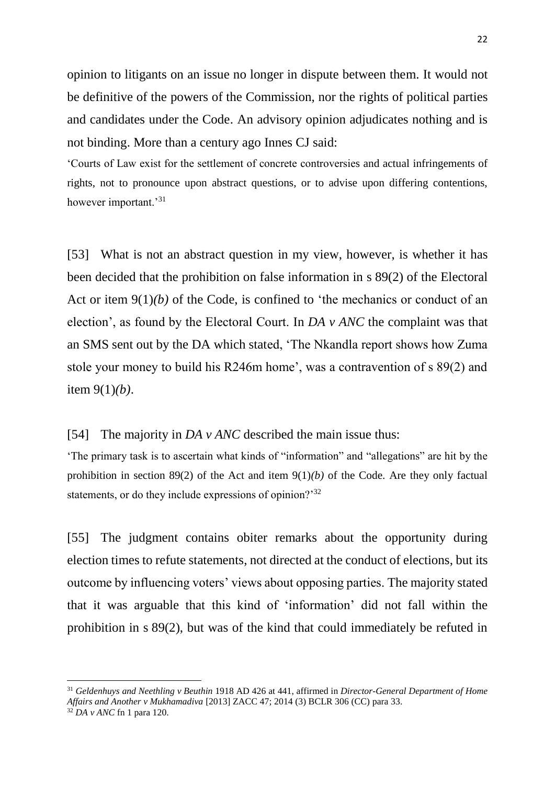opinion to litigants on an issue no longer in dispute between them. It would not be definitive of the powers of the Commission, nor the rights of political parties and candidates under the Code. An advisory opinion adjudicates nothing and is not binding. More than a century ago Innes CJ said:

'Courts of Law exist for the settlement of concrete controversies and actual infringements of rights, not to pronounce upon abstract questions, or to advise upon differing contentions, however important.<sup>31</sup>

[53] What is not an abstract question in my view, however, is whether it has been decided that the prohibition on false information in s 89(2) of the Electoral Act or item 9(1)*(b)* of the Code, is confined to 'the mechanics or conduct of an election', as found by the Electoral Court. In *DA v ANC* the complaint was that an SMS sent out by the DA which stated, 'The Nkandla report shows how Zuma stole your money to build his R246m home', was a contravention of s 89(2) and item 9(1)*(b)*.

## [54] The majority in *DA v ANC* described the main issue thus:

'The primary task is to ascertain what kinds of "information" and "allegations" are hit by the prohibition in section 89(2) of the Act and item 9(1)*(b)* of the Code. Are they only factual statements, or do they include expressions of opinion?<sup>32</sup>

[55] The judgment contains obiter remarks about the opportunity during election times to refute statements, not directed at the conduct of elections, but its outcome by influencing voters' views about opposing parties. The majority stated that it was arguable that this kind of 'information' did not fall within the prohibition in s 89(2), but was of the kind that could immediately be refuted in

1

<sup>31</sup> *Geldenhuys and Neethling v Beuthin* 1918 AD 426 at 441, affirmed in *Director-General Department of Home Affairs and Another v Mukhamadiva* [2013] ZACC 47; 2014 (3) BCLR 306 (CC) para 33.

 $32$  *DA v ANC* fn 1 para 120.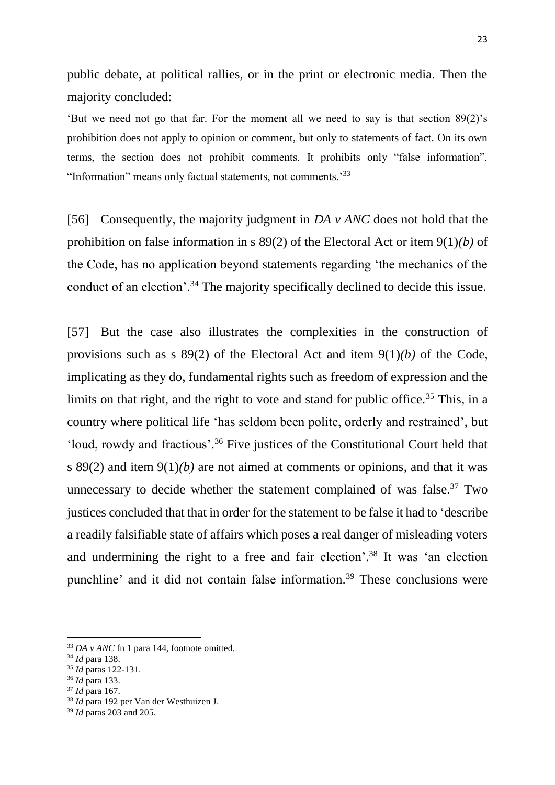public debate, at political rallies, or in the print or electronic media. Then the majority concluded:

'But we need not go that far. For the moment all we need to say is that section 89(2)'s prohibition does not apply to opinion or comment, but only to statements of fact. On its own terms, the section does not prohibit comments. It prohibits only "false information". "Information" means only factual statements, not comments.'<sup>33</sup>

[56] Consequently, the majority judgment in *DA v ANC* does not hold that the prohibition on false information in s 89(2) of the Electoral Act or item 9(1)*(b)* of the Code, has no application beyond statements regarding 'the mechanics of the conduct of an election'.<sup>34</sup> The majority specifically declined to decide this issue.

[57] But the case also illustrates the complexities in the construction of provisions such as s 89(2) of the Electoral Act and item 9(1)*(b)* of the Code, implicating as they do, fundamental rights such as freedom of expression and the limits on that right, and the right to vote and stand for public office.<sup>35</sup> This, in a country where political life 'has seldom been polite, orderly and restrained', but 'loud, rowdy and fractious'.<sup>36</sup> Five justices of the Constitutional Court held that s 89(2) and item 9(1)*(b)* are not aimed at comments or opinions, and that it was unnecessary to decide whether the statement complained of was false.<sup>37</sup> Two justices concluded that that in order for the statement to be false it had to 'describe a readily falsifiable state of affairs which poses a real danger of misleading voters and undermining the right to a free and fair election'. <sup>38</sup> It was 'an election punchline' and it did not contain false information.<sup>39</sup> These conclusions were

<sup>33</sup> *DA v ANC* fn 1 para 144, footnote omitted.

<sup>34</sup> *Id* para 138.

<sup>35</sup> *Id* paras 122-131.

<sup>36</sup> *Id* para 133.

<sup>37</sup> *Id* para 167.

<sup>38</sup> *Id* para 192 per Van der Westhuizen J.

<sup>39</sup> *Id* paras 203 and 205.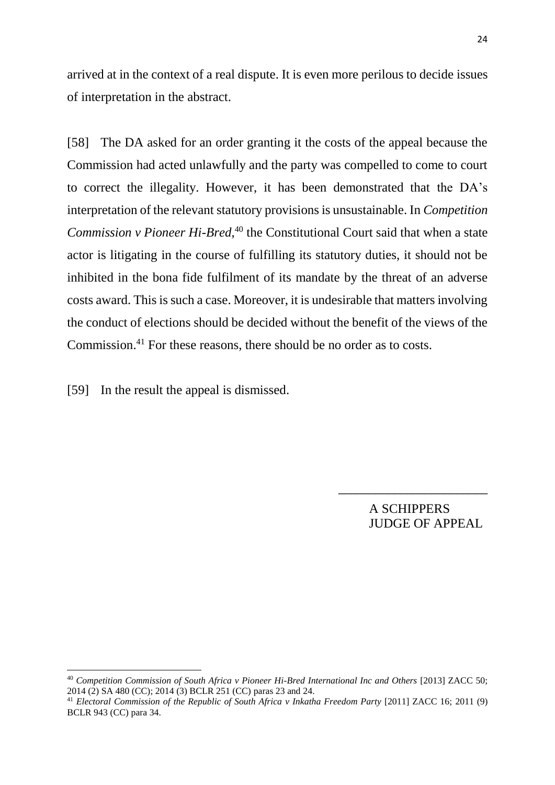arrived at in the context of a real dispute. It is even more perilous to decide issues of interpretation in the abstract.

[58] The DA asked for an order granting it the costs of the appeal because the Commission had acted unlawfully and the party was compelled to come to court to correct the illegality. However, it has been demonstrated that the DA's interpretation of the relevant statutory provisions is unsustainable. In *Competition Commission v Pioneer Hi-Bred*, <sup>40</sup> the Constitutional Court said that when a state actor is litigating in the course of fulfilling its statutory duties, it should not be inhibited in the bona fide fulfilment of its mandate by the threat of an adverse costs award. This is such a case. Moreover, it is undesirable that matters involving the conduct of elections should be decided without the benefit of the views of the Commission.<sup>41</sup> For these reasons, there should be no order as to costs.

[59] In the result the appeal is dismissed.

**.** 

A SCHIPPERS JUDGE OF APPEAL

\_\_\_\_\_\_\_\_\_\_\_\_\_\_\_\_\_\_\_\_\_\_\_\_

<sup>40</sup> *Competition Commission of South Africa v Pioneer Hi-Bred International Inc and Others* [2013] ZACC 50; 2014 (2) SA 480 (CC); 2014 (3) BCLR 251 (CC) paras 23 and 24.

<sup>41</sup> *Electoral Commission of the Republic of South Africa v Inkatha Freedom Party* [2011] ZACC 16; 2011 (9) BCLR 943 (CC) para 34.